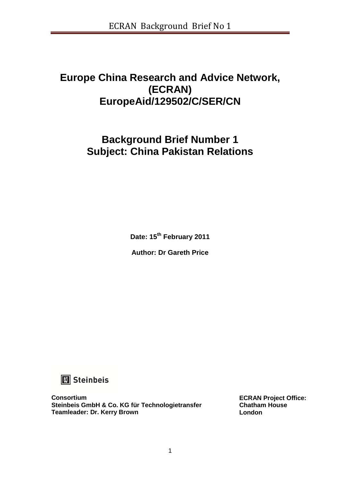## **Europe China Research and Advice Network, (ECRAN) EuropeAid/129502/C/SER/CN**

# **Background Brief Number 1 Subject: China Pakistan Relations**

**Date: 15th February 2011** 

**Author: Dr Gareth Price** 



**Consortium Steinbeis GmbH & Co. KG für Technologietransfer Teamleader: Dr. Kerry Brown**

**ECRAN Project Office: Chatham House London**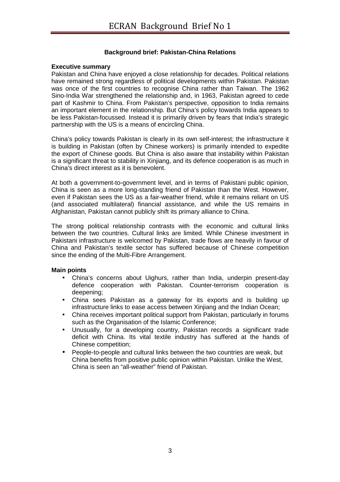### **Background brief: Pakistan-China Relations**

#### **Executive summary**

Pakistan and China have enjoyed a close relationship for decades. Political relations have remained strong regardless of political developments within Pakistan. Pakistan was once of the first countries to recognise China rather than Taiwan. The 1962 Sino-India War strengthened the relationship and, in 1963, Pakistan agreed to cede part of Kashmir to China. From Pakistan's perspective, opposition to India remains an important element in the relationship. But China's policy towards India appears to be less Pakistan-focussed. Instead it is primarily driven by fears that India's strategic partnership with the US is a means of encircling China.

China's policy towards Pakistan is clearly in its own self-interest; the infrastructure it is building in Pakistan (often by Chinese workers) is primarily intended to expedite the export of Chinese goods. But China is also aware that instability within Pakistan is a significant threat to stability in Xinjiang, and its defence cooperation is as much in China's direct interest as it is benevolent.

At both a government-to-government level, and in terms of Pakistani public opinion, China is seen as a more long-standing friend of Pakistan than the West. However, even if Pakistan sees the US as a fair-weather friend, while it remains reliant on US (and associated multilateral) financial assistance, and while the US remains in Afghanistan, Pakistan cannot publicly shift its primary alliance to China.

The strong political relationship contrasts with the economic and cultural links between the two countries. Cultural links are limited. While Chinese investment in Pakistani infrastructure is welcomed by Pakistan, trade flows are heavily in favour of China and Pakistan's textile sector has suffered because of Chinese competition since the ending of the Multi-Fibre Arrangement.

#### **Main points**

- China's concerns about Uighurs, rather than India, underpin present-day defence cooperation with Pakistan. Counter-terrorism cooperation is deepening;
- China sees Pakistan as a gateway for its exports and is building up infrastructure links to ease access between Xinjiang and the Indian Ocean;
- China receives important political support from Pakistan, particularly in forums such as the Organisation of the Islamic Conference;
- Unusually, for a developing country, Pakistan records a significant trade deficit with China. Its vital textile industry has suffered at the hands of Chinese competition;
- People-to-people and cultural links between the two countries are weak, but China benefits from positive public opinion within Pakistan. Unlike the West, China is seen an "all-weather" friend of Pakistan.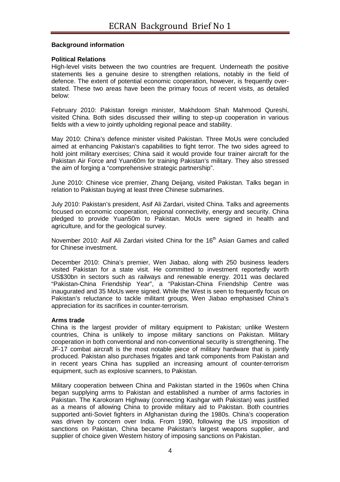#### **Background information**

#### **Political Relations**

High-level visits between the two countries are frequent. Underneath the positive statements lies a genuine desire to strengthen relations, notably in the field of defence. The extent of potential economic cooperation, however, is frequently overstated. These two areas have been the primary focus of recent visits, as detailed below:

February 2010: Pakistan foreign minister, Makhdoom Shah Mahmood Qureshi, visited China. Both sides discussed their willing to step-up cooperation in various fields with a view to jointly upholding regional peace and stability.

May 2010: China's defence minister visited Pakistan. Three MoUs were concluded aimed at enhancing Pakistan's capabilities to fight terror. The two sides agreed to hold joint military exercises; China said it would provide four trainer aircraft for the Pakistan Air Force and Yuan60m for training Pakistan's military. They also stressed the aim of forging a "comprehensive strategic partnership".

June 2010: Chinese vice premier, Zhang Deijang, visited Pakistan. Talks began in relation to Pakistan buying at least three Chinese submarines.

July 2010: Pakistan's president, Asif Ali Zardari, visited China. Talks and agreements focused on economic cooperation, regional connectivity, energy and security. China pledged to provide Yuan50m to Pakistan. MoUs were signed in health and agriculture, and for the geological survey.

November 2010: Asif Ali Zardari visited China for the 16<sup>th</sup> Asian Games and called for Chinese investment.

December 2010: China's premier, Wen Jiabao, along with 250 business leaders visited Pakistan for a state visit. He committed to investment reportedly worth US\$30bn in sectors such as railways and renewable energy. 2011 was declared "Pakistan-China Friendship Year", a "Pakistan-China Friendship Centre was inaugurated and 35 MoUs were signed. While the West is seen to frequently focus on Pakistan's reluctance to tackle militant groups, Wen Jiabao emphasised China's appreciation for its sacrifices in counter-terrorism.

#### **Arms trade**

China is the largest provider of military equipment to Pakistan; unlike Western countries, China is unlikely to impose military sanctions on Pakistan. Military cooperation in both conventional and non-conventional security is strengthening. The JF-17 combat aircraft is the most notable piece of military hardware that is jointly produced. Pakistan also purchases frigates and tank components from Pakistan and in recent years China has supplied an increasing amount of counter-terrorism equipment, such as explosive scanners, to Pakistan.

Military cooperation between China and Pakistan started in the 1960s when China began supplying arms to Pakistan and established a number of arms factories in Pakistan. The Karokoram Highway (connecting Kashgar with Pakistan) was justified as a means of allowing China to provide military aid to Pakistan. Both countries supported anti-Soviet fighters in Afghanistan during the 1980s. China's cooperation was driven by concern over India. From 1990, following the US imposition of sanctions on Pakistan, China became Pakistan's largest weapons supplier, and supplier of choice given Western history of imposing sanctions on Pakistan.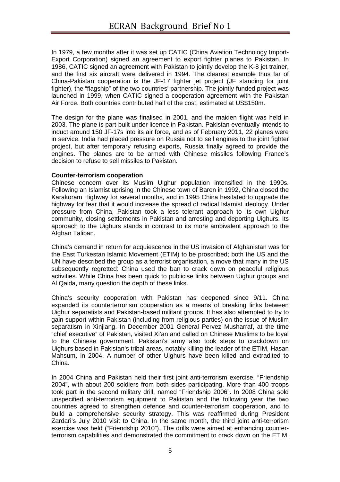In 1979, a few months after it was set up CATIC (China Aviation Technology Import-Export Corporation) signed an agreement to export fighter planes to Pakistan. In 1986, CATIC signed an agreement with Pakistan to jointly develop the K-8 jet trainer, and the first six aircraft were delivered in 1994. The clearest example thus far of China-Pakistan cooperation is the JF-17 fighter jet project (JF standing for joint fighter), the "flagship" of the two countries' partnership. The jointly-funded project was launched in 1999, when CATIC signed a cooperation agreement with the Pakistan Air Force. Both countries contributed half of the cost, estimated at US\$150m.

The design for the plane was finalised in 2001, and the maiden flight was held in 2003. The plane is part-built under licence in Pakistan. Pakistan eventually intends to induct around 150 JF-17s into its air force, and as of February 2011, 22 planes were in service. India had placed pressure on Russia not to sell engines to the joint fighter project, but after temporary refusing exports, Russia finally agreed to provide the engines. The planes are to be armed with Chinese missiles following France's decision to refuse to sell missiles to Pakistan.

#### **Counter-terrorism cooperation**

Chinese concern over its Muslim Uighur population intensified in the 1990s. Following an Islamist uprising in the Chinese town of Baren in 1992, China closed the Karakoram Highway for several months, and in 1995 China hesitated to upgrade the highway for fear that it would increase the spread of radical Islamist ideology. Under pressure from China, Pakistan took a less tolerant approach to its own Uighur community, closing settlements in Pakistan and arresting and deporting Uighurs. Its approach to the Uighurs stands in contrast to its more ambivalent approach to the Afghan Taliban.

China's demand in return for acquiescence in the US invasion of Afghanistan was for the East Turkestan Islamic Movement (ETIM) to be proscribed; both the US and the UN have described the group as a terrorist organisation, a move that many in the US subsequently regretted: China used the ban to crack down on peaceful religious activities. While China has been quick to publicise links between Uighur groups and Al Qaida, many question the depth of these links.

China's security cooperation with Pakistan has deepened since 9/11. China expanded its counterterrorism cooperation as a means of breaking links between Uighur separatists and Pakistan-based militant groups. It has also attempted to try to gain support within Pakistan (including from religious parties) on the issue of Muslim separatism in Xinjiang. In December 2001 General Pervez Musharraf, at the time "chief executive" of Pakistan, visited Xi'an and called on Chinese Muslims to be loyal to the Chinese government. Pakistan's army also took steps to crackdown on Uighurs based in Pakistan's tribal areas, notably killing the leader of the ETIM, Hasan Mahsum, in 2004. A number of other Uighurs have been killed and extradited to China.

In 2004 China and Pakistan held their first joint anti-terrorism exercise, "Friendship 2004", with about 200 soldiers from both sides participating. More than 400 troops took part in the second military drill, named "Friendship 2006". In 2008 China sold unspecified anti-terrorism equipment to Pakistan and the following year the two countries agreed to strengthen defence and counter-terrorism cooperation, and to build a comprehensive security strategy. This was reaffirmed during President Zardari's July 2010 visit to China. In the same month, the third joint anti-terrorism exercise was held ("Friendship 2010"). The drills were aimed at enhancing counterterrorism capabilities and demonstrated the commitment to crack down on the ETIM.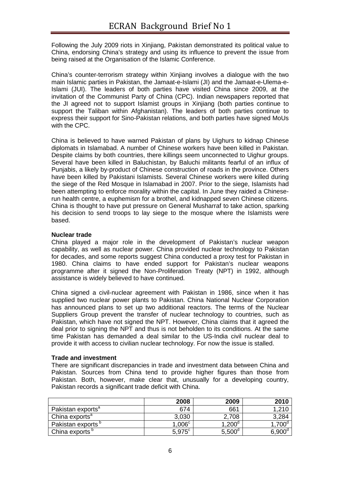Following the July 2009 riots in Xinjiang, Pakistan demonstrated its political value to China, endorsing China's strategy and using its influence to prevent the issue from being raised at the Organisation of the Islamic Conference.

China's counter-terrorism strategy within Xinjiang involves a dialogue with the two main Islamic parties in Pakistan, the Jamaat-e-Islami (JI) and the Jamaat-e-Ulema-e-Islami (JUI). The leaders of both parties have visited China since 2009, at the invitation of the Communist Party of China (CPC). Indian newspapers reported that the JI agreed not to support Islamist groups in Xinjiang (both parties continue to support the Taliban within Afghanistan). The leaders of both parties continue to express their support for Sino-Pakistan relations, and both parties have signed MoUs with the CPC.

China is believed to have warned Pakistan of plans by Uighurs to kidnap Chinese diplomats in Islamabad. A number of Chinese workers have been killed in Pakistan. Despite claims by both countries, there killings seem unconnected to Uighur groups. Several have been killed in Baluchistan, by Baluchi militants fearful of an influx of Punjabis, a likely by-product of Chinese construction of roads in the province. Others have been killed by Pakistani Islamists. Several Chinese workers were killed during the siege of the Red Mosque in Islamabad in 2007. Prior to the siege, Islamists had been attempting to enforce morality within the capital. In June they raided a Chineserun health centre, a euphemism for a brothel, and kidnapped seven Chinese citizens. China is thought to have put pressure on General Musharraf to take action, sparking his decision to send troops to lay siege to the mosque where the Islamists were based.

#### **Nuclear trade**

China played a major role in the development of Pakistan's nuclear weapon capability, as well as nuclear power. China provided nuclear technology to Pakistan for decades, and some reports suggest China conducted a proxy test for Pakistan in 1980. China claims to have ended support for Pakistan's nuclear weapons programme after it signed the Non-Proliferation Treaty (NPT) in 1992, although assistance is widely believed to have continued.

China signed a civil-nuclear agreement with Pakistan in 1986, since when it has supplied two nuclear power plants to Pakistan. China National Nuclear Corporation has announced plans to set up two additional reactors. The terms of the Nuclear Suppliers Group prevent the transfer of nuclear technology to countries, such as Pakistan, which have not signed the NPT. However, China claims that it agreed the deal prior to signing the NPT and thus is not beholden to its conditions. At the same time Pakistan has demanded a deal similar to the US-India civil nuclear deal to provide it with access to civilian nuclear technology. For now the issue is stalled.

#### **Trade and investment**

There are significant discrepancies in trade and investment data between China and Pakistan. Sources from China tend to provide higher figures than those from Pakistan. Both, however, make clear that, unusually for a developing country, Pakistan records a significant trade deficit with China.

|                               | 2008                 | 2009            | 2010            |
|-------------------------------|----------------------|-----------------|-----------------|
| Pakistan exports <sup>a</sup> | 674                  | 661             | 1,210           |
| China exports <sup>a</sup>    | 3,030                | 2,708           | 3,284           |
| Pakistan exports <sup>p</sup> | 1,006 <sup>c</sup>   | $1,200^d$       | $1,700^{\circ}$ |
| China exports <sup>o</sup>    | $5.975$ <sup>c</sup> | $5,500^{\circ}$ | $6.900^\circ$   |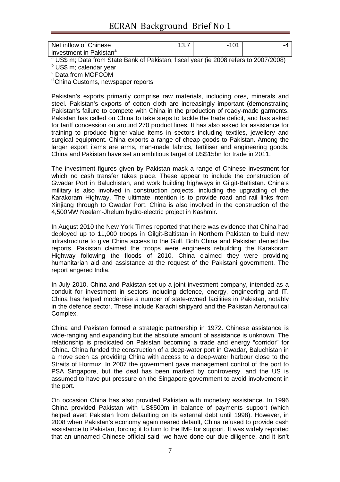### ECRAN Background Brief No 1

| Net inflow of Chinese                 | 1 N 1 |  |
|---------------------------------------|-------|--|
| I investment in Pakistan <sup>a</sup> |       |  |

<sup>a</sup> US\$ m; Data from State Bank of Pakistan; fiscal year (ie 2008 refers to 2007/2008)

<sup>b</sup> US\$ m; calendar year

c Data from MOFCOM

<sup>d</sup> China Customs, newspaper reports

Pakistan's exports primarily comprise raw materials, including ores, minerals and steel. Pakistan's exports of cotton cloth are increasingly important (demonstrating Pakistan's failure to compete with China in the production of ready-made garments. Pakistan has called on China to take steps to tackle the trade deficit, and has asked for tariff concession on around 270 product lines. It has also asked for assistance for training to produce higher-value items in sectors including textiles, jewellery and surgical equipment. China exports a range of cheap goods to Pakistan. Among the larger export items are arms, man-made fabrics, fertiliser and engineering goods. China and Pakistan have set an ambitious target of US\$15bn for trade in 2011.

The investment figures given by Pakistan mask a range of Chinese investment for which no cash transfer takes place. These appear to include the construction of Gwadar Port in Baluchistan, and work building highways in Gilgit-Baltistan. China's military is also involved in construction projects, including the upgrading of the Karakoram Highway. The ultimate intention is to provide road and rail links from Xinjiang through to Gwadar Port. China is also involved in the construction of the 4,500MW Neelam-Jhelum hydro-electric project in Kashmir.

In August 2010 the New York Times reported that there was evidence that China had deployed up to 11,000 troops in Gilgit-Baltistan in Northern Pakistan to build new infrastructure to give China access to the Gulf. Both China and Pakistan denied the reports. Pakistan claimed the troops were engineers rebuilding the Karakoram Highway following the floods of 2010. China claimed they were providing humanitarian aid and assistance at the request of the Pakistani government. The report angered India.

In July 2010, China and Pakistan set up a joint investment company, intended as a conduit for investment in sectors including defence, energy, engineering and IT. China has helped modernise a number of state-owned facilities in Pakistan, notably in the defence sector. These include Karachi shipyard and the Pakistan Aeronautical Complex.

China and Pakistan formed a strategic partnership in 1972. Chinese assistance is wide-ranging and expanding but the absolute amount of assistance is unknown. The relationship is predicated on Pakistan becoming a trade and energy "corridor" for China. China funded the construction of a deep-water port in Gwadar, Baluchistan in a move seen as providing China with access to a deep-water harbour close to the Straits of Hormuz. In 2007 the government gave management control of the port to PSA Singapore, but the deal has been marked by controversy, and the US is assumed to have put pressure on the Singapore government to avoid involvement in the port.

On occasion China has also provided Pakistan with monetary assistance. In 1996 China provided Pakistan with US\$500m in balance of payments support (which helped avert Pakistan from defaulting on its external debt until 1998). However, in 2008 when Pakistan's economy again neared default, China refused to provide cash assistance to Pakistan, forcing it to turn to the IMF for support. It was widely reported that an unnamed Chinese official said "we have done our due diligence, and it isn't